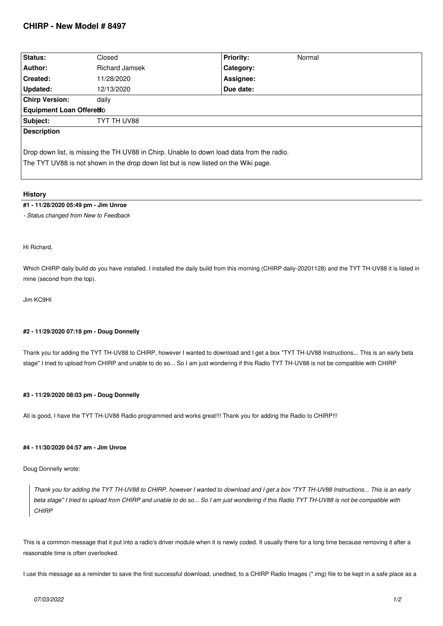# **CHIRP - New Model # 8497**

| Status:                                                                                                                                                                          | Closed                | <b>Priority:</b><br>Normal |
|----------------------------------------------------------------------------------------------------------------------------------------------------------------------------------|-----------------------|----------------------------|
| Author:                                                                                                                                                                          | <b>Richard Jamsek</b> | Category:                  |
| <b>Created:</b>                                                                                                                                                                  | 11/28/2020            | Assignee:                  |
| Updated:                                                                                                                                                                         | 12/13/2020            | Due date:                  |
| <b>Chirp Version:</b>                                                                                                                                                            | daily                 |                            |
| <b>Equipment Loan Offeredo</b>                                                                                                                                                   |                       |                            |
| Subject:                                                                                                                                                                         | TYT TH UV88           |                            |
| <b>Description</b>                                                                                                                                                               |                       |                            |
| Drop down list, is missing the TH UV88 in Chirp. Unable to down load data from the radio.<br>The TYT UV88 is not shown in the drop down list but is now listed on the Wiki page. |                       |                            |

## **History**

#### **#1 - 11/28/2020 05:49 pm - Jim Unroe**

*- Status changed from New to Feedback*

*Hi Richard,*

*Which CHIRP daily build do you have installed. I installed the daily build from this morning (CHIRP daily-20201128) and the TYT TH-UV88 it is listed in mine (second from the top).*

*Jim KC9HI*

### **#2 - 11/29/2020 07:18 pm - Doug Donnelly**

*Thank you for adding the TYT TH-UV88 to CHIRP, however I wanted to download and I get a box "TYT TH-UV88 Instructions... This is an early beta stage" I tried to upload from CHIRP and unable to do so... So I am just wondering if this Radio TYT TH-UV88 is not be compatible with CHIRP*

## **#3 - 11/29/2020 08:03 pm - Doug Donnelly**

*All is good, I have the TYT TH-UV88 Radio programmed and works great!!! Thank you for adding the Radio to CHIRP!!!*

#### **#4 - 11/30/2020 04:57 am - Jim Unroe**

*Doug Donnelly wrote:*

*Thank you for adding the TYT TH-UV88 to CHIRP, however I wanted to download and I get a box "TYT TH-UV88 Instructions... This is an early beta stage" I tried to upload from CHIRP and unable to do so... So I am just wondering if this Radio TYT TH-UV88 is not be compatible with CHIRP*

*This is a common message that it put into a radio's driver module when it is newly coded. It usually there for a long time because removing it after a reasonable time is often overlooked.*

*I use this message as a reminder to save the first successful download, unedited, to a CHIRP Radio Images (\*.img) file to be kept in a safe place as a*